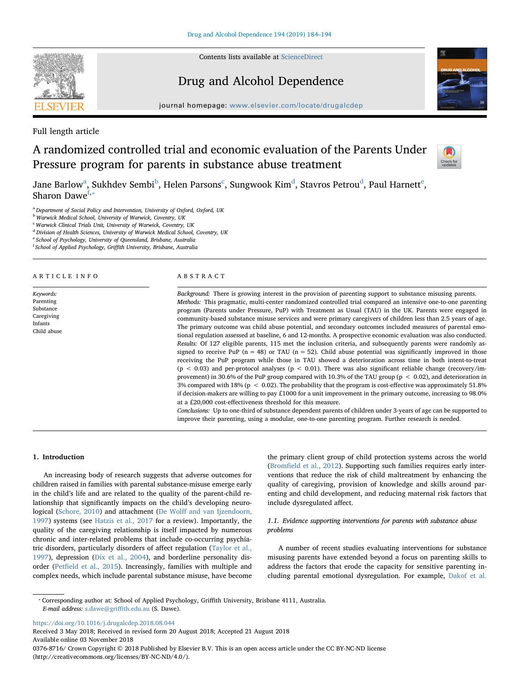

Contents lists available at [ScienceDirect](http://www.sciencedirect.com/science/journal/03768716)

## Drug and Alcohol Dependence



journal homepage: [www.elsevier.com/locate/drugalcdep](https://www.elsevier.com/locate/drugalcdep)

Full length article

# A randomized controlled trial and economic evaluation of the Parents Under Pressure program for parents in substance abuse treatment



J[a](#page-0-0)n[e](#page-0-4) Barlow $^{\rm a}$ , Sukh[d](#page-0-3)ev Sembi $^{\rm b}$ , Helen Parsons $^{\rm c}$  $^{\rm c}$  $^{\rm c}$ , Sungwook Kim $^{\rm d}$ , Stavros Petrou $^{\rm d}$ , Paul Harnett $^{\rm e}$ , Sharon Dawe<sup>[f,](#page-0-5)\*</sup>

<span id="page-0-0"></span><sup>a</sup> Department of Social Policy and Intervention, University of Oxford, Oxford, UK

<span id="page-0-1"></span>**b Warwick Medical School, University of Warwick, Coventry, UK** 

<span id="page-0-2"></span><sup>c</sup> Warwick Clinical Trials Unit, University of Warwick, Coventry, UK

<span id="page-0-3"></span><sup>d</sup> Division of Health Sciences, University of Warwick Medical School, Coventry, UK

<span id="page-0-4"></span><sup>2</sup> School of Psychology, University of Queensland, Brisbane, Australia

<span id="page-0-5"></span><sup>f</sup> School of Applied Psychology, Griffith University, Brisbane, Australia

#### ARTICLE INFO

Keywords: Parenting Substance Caregiving Infants Child abuse

#### ABSTRACT

Background: There is growing interest in the provision of parenting support to substance misusing parents. Methods: This pragmatic, multi-center randomized controlled trial compared an intensive one-to-one parenting program (Parents under Pressure, PuP) with Treatment as Usual (TAU) in the UK. Parents were engaged in community-based substance misuse services and were primary caregivers of children less than 2.5 years of age. The primary outcome was child abuse potential, and secondary outcomes included measures of parental emotional regulation assessed at baseline, 6 and 12-months. A prospective economic evaluation was also conducted. Results: Of 127 eligible parents, 115 met the inclusion criteria, and subsequently parents were randomly assigned to receive PuP ( $n = 48$ ) or TAU ( $n = 52$ ). Child abuse potential was significantly improved in those receiving the PuP program while those in TAU showed a deterioration across time in both intent-to-treat ( $p < 0.03$ ) and per-protocol analyses ( $p < 0.01$ ). There was also significant reliable change (recovery/improvement) in 30.6% of the PuP group compared with 10.3% of the TAU group (p < 0.02), and deterioration in 3% compared with 18% ( $p < 0.02$ ). The probability that the program is cost-effective was approximately 51.8% if decision-makers are willing to pay £1000 for a unit improvement in the primary outcome, increasing to 98.0% at a £20,000 cost-effectiveness threshold for this measure.

Conclusions: Up to one-third of substance dependent parents of children under 3-years of age can be supported to improve their parenting, using a modular, one-to-one parenting program. Further research is needed.

## 1. Introduction

An increasing body of research suggests that adverse outcomes for children raised in families with parental substance-misuse emerge early in the child's life and are related to the quality of the parent-child relationship that significantly impacts on the child's developing neurological [\(Schore, 2010](#page-10-0)) and attachment (De Wolff [and van Ijzendoorn,](#page-10-1) [1997\)](#page-10-1) systems (see [Hatzis et al., 2017](#page-10-2) for a review). Importantly, the quality of the caregiving relationship is itself impacted by numerous chronic and inter-related problems that include co-occurring psychiatric disorders, particularly disorders of affect regulation ([Taylor et al.,](#page-10-3) [1997\)](#page-10-3), depression ([Dix et al., 2004](#page-10-4)), and borderline personality disorder (Petfi[eld et al., 2015](#page-10-5)). Increasingly, families with multiple and complex needs, which include parental substance misuse, have become

the primary client group of child protection systems across the world (Bromfi[eld et al., 2012](#page-10-6)). Supporting such families requires early interventions that reduce the risk of child maltreatment by enhancing the quality of caregiving, provision of knowledge and skills around parenting and child development, and reducing maternal risk factors that include dysregulated affect.

## 1.1. Evidence supporting interventions for parents with substance abuse problems

A number of recent studies evaluating interventions for substance misusing parents have extended beyond a focus on parenting skills to address the factors that erode the capacity for sensitive parenting including parental emotional dysregulation. For example, [Dakof et al.](#page-10-7)

<span id="page-0-6"></span>⁎ Corresponding author at: School of Applied Psychology, Griffith University, Brisbane 4111, Australia. E-mail address: [s.dawe@gri](mailto:s.dawe@griffith.edu.au)ffith.edu.au (S. Dawe).

<https://doi.org/10.1016/j.drugalcdep.2018.08.044>

Received 3 May 2018; Received in revised form 20 August 2018; Accepted 21 August 2018 Available online 03 November 2018

0376-8716/ Crown Copyright © 2018 Published by Elsevier B.V. This is an open access article under the CC BY-NC-ND license (http://creativecommons.org/licenses/BY-NC-ND/4.0/).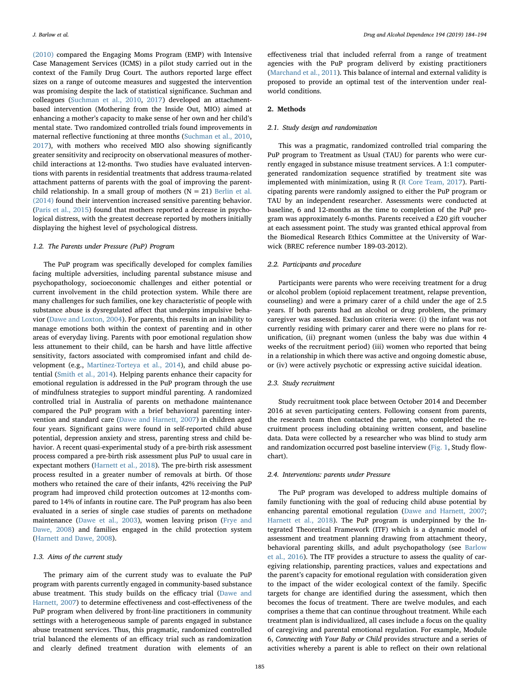[\(2010\)](#page-10-7) compared the Engaging Moms Program (EMP) with Intensive Case Management Services (ICMS) in a pilot study carried out in the context of the Family Drug Court. The authors reported large effect sizes on a range of outcome measures and suggested the intervention was promising despite the lack of statistical significance. Suchman and colleagues [\(Suchman et al., 2010,](#page-10-8) [2017](#page-10-9)) developed an attachmentbased intervention (Mothering from the Inside Out, MIO) aimed at enhancing a mother's capacity to make sense of her own and her child's mental state. Two randomized controlled trials found improvements in maternal reflective functioning at three months [\(Suchman et al., 2010](#page-10-8), [2017\)](#page-10-9), with mothers who received MIO also showing significantly greater sensitivity and reciprocity on observational measures of motherchild interactions at 12-months. Two studies have evaluated interventions with parents in residential treatments that address trauma-related attachment patterns of parents with the goal of improving the parentchild relationship. In a small group of mothers  $(N = 21)$  [Berlin et al.](#page-9-0) [\(2014\)](#page-9-0) found their intervention increased sensitive parenting behavior. ([Paris et al., 2015\)](#page-10-10) found that mothers reported a decrease in psychological distress, with the greatest decrease reported by mothers initially displaying the highest level of psychological distress.

## 1.2. The Parents under Pressure (PuP) Program

The PuP program was specifically developed for complex families facing multiple adversities, including parental substance misuse and psychopathology, socioeconomic challenges and either potential or current involvement in the child protection system. While there are many challenges for such families, one key characteristic of people with substance abuse is dysregulated affect that underpins impulsive behavior ([Dawe and Loxton, 2004\)](#page-10-11). For parents, this results in an inability to manage emotions both within the context of parenting and in other areas of everyday living. Parents with poor emotional regulation show less attunement to their child, can be harsh and have little affective sensitivity, factors associated with compromised infant and child development (e.g., [Martinez-Torteya et al., 2014](#page-10-12)), and child abuse potential ([Smith et al., 2014](#page-10-13)). Helping parents enhance their capacity for emotional regulation is addressed in the PuP program through the use of mindfulness strategies to support mindful parenting. A randomized controlled trial in Australia of parents on methadone maintenance compared the PuP program with a brief behavioral parenting intervention and standard care ([Dawe and Harnett, 2007\)](#page-10-14) in children aged four years. Significant gains were found in self-reported child abuse potential, depression anxiety and stress, parenting stress and child behavior. A recent quasi-experimental study of a pre-birth risk assessment process compared a pre-birth risk assessment plus PuP to usual care in expectant mothers [\(Harnett et al., 2018\)](#page-10-15). The pre-birth risk assessment process resulted in a greater number of removals at birth. Of those mothers who retained the care of their infants, 42% receiving the PuP program had improved child protection outcomes at 12-months compared to 14% of infants in routine care. The PuP program has also been evaluated in a series of single case studies of parents on methadone maintenance ([Dawe et al., 2003\)](#page-10-16), women leaving prison ([Frye and](#page-10-17) [Dawe, 2008](#page-10-17)) and families engaged in the child protection system ([Harnett and Dawe, 2008\)](#page-10-18).

## 1.3. Aims of the current study

The primary aim of the current study was to evaluate the PuP program with parents currently engaged in community-based substance abuse treatment. This study builds on the efficacy trial ([Dawe and](#page-10-14) [Harnett, 2007](#page-10-14)) to determine effectiveness and cost-effectiveness of the PuP program when delivered by front-line practitioners in community settings with a heterogeneous sample of parents engaged in substance abuse treatment services. Thus, this pragmatic, randomized controlled trial balanced the elements of an efficacy trial such as randomization and clearly defined treatment duration with elements of an effectiveness trial that included referral from a range of treatment agencies with the PuP program deliverd by existing practitioners ([Marchand et al., 2011](#page-10-19)). This balance of internal and external validity is proposed to provide an optimal test of the intervention under realworld conditions.

## 2. Methods

## 2.1. Study design and randomization

This was a pragmatic, randomized controlled trial comparing the PuP program to Treatment as Usual (TAU) for parents who were currently engaged in substance misuse treatment services. A 1:1 computergenerated randomization sequence stratified by treatment site was implemented with minimization, using R ([R Core Team, 2017](#page-10-20)). Participating parents were randomly assigned to either the PuP program or TAU by an independent researcher. Assessments were conducted at baseline, 6 and 12-months as the time to completion of the PuP program was approximately 6-months. Parents received a £20 gift voucher at each assessment point. The study was granted ethical approval from the Biomedical Research Ethics Committee at the University of Warwick (BREC reference number 189-03-2012).

## 2.2. Participants and procedure

Participants were parents who were receiving treatment for a drug or alcohol problem (opioid replacement treatment, relapse prevention, counseling) and were a primary carer of a child under the age of 2.5 years. If both parents had an alcohol or drug problem, the primary caregiver was assessed. Exclusion criteria were: (i) the infant was not currently residing with primary carer and there were no plans for reunification, (ii) pregnant women (unless the baby was due within 4 weeks of the recruitment period) (iii) women who reported that being in a relationship in which there was active and ongoing domestic abuse, or (iv) were actively psychotic or expressing active suicidal ideation.

## 2.3. Study recruitment

Study recruitment took place between October 2014 and December 2016 at seven participating centers. Following consent from parents, the research team then contacted the parent, who completed the recruitment process including obtaining written consent, and baseline data. Data were collected by a researcher who was blind to study arm and randomization occurred post baseline interview ([Fig. 1](#page-2-0), Study flowchart).

#### 2.4. Interventions: parents under Pressure

The PuP program was developed to address multiple domains of family functioning with the goal of reducing child abuse potential by enhancing parental emotional regulation [\(Dawe and Harnett, 2007](#page-10-14); [Harnett et al., 2018\)](#page-10-15). The PuP program is underpinned by the Integrated Theoretical Framework (ITF) which is a dynamic model of assessment and treatment planning drawing from attachment theory, behavioral parenting skills, and adult psychopathology (see [Barlow](#page-9-1) [et al., 2016\)](#page-9-1). The ITF provides a structure to assess the quality of caregiving relationship, parenting practices, values and expectations and the parent's capacity for emotional regulation with consideration given to the impact of the wider ecological context of the family. Specific targets for change are identified during the assessment, which then becomes the focus of treatment. There are twelve modules, and each comprises a theme that can continue throughout treatment. While each treatment plan is individualized, all cases include a focus on the quality of caregiving and parental emotional regulation. For example, Module 6, Connecting with Your Baby or Child provides structure and a series of activities whereby a parent is able to reflect on their own relational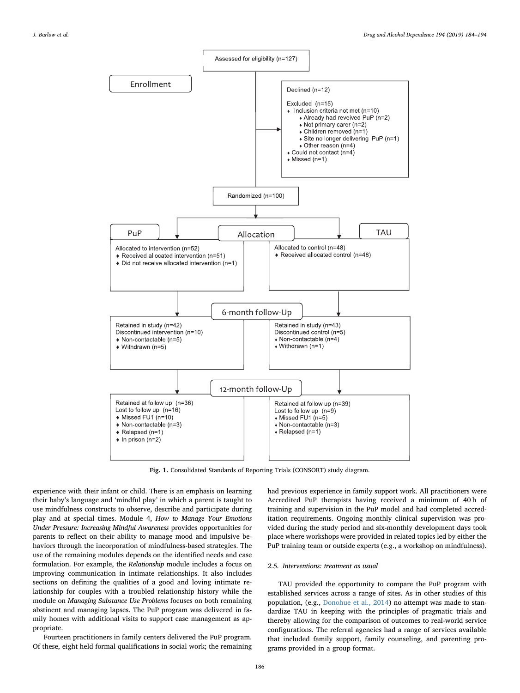<span id="page-2-0"></span>

Fig. 1. Consolidated Standards of Reporting Trials (CONSORT) study diagram.

experience with their infant or child. There is an emphasis on learning their baby's language and 'mindful play' in which a parent is taught to use mindfulness constructs to observe, describe and participate during play and at special times. Module 4, How to Manage Your Emotions Under Pressure: Increasing Mindful Awareness provides opportunities for parents to reflect on their ability to manage mood and impulsive behaviors through the incorporation of mindfulness-based strategies. The use of the remaining modules depends on the identified needs and case formulation. For example, the Relationship module includes a focus on improving communication in intimate relationships. It also includes sections on defining the qualities of a good and loving intimate relationship for couples with a troubled relationship history while the module on Managing Substance Use Problems focuses on both remaining abstinent and managing lapses. The PuP program was delivered in family homes with additional visits to support case management as appropriate.

Fourteen practitioners in family centers delivered the PuP program. Of these, eight held formal qualifications in social work; the remaining had previous experience in family support work. All practitioners were Accredited PuP therapists having received a minimum of 40 h of training and supervision in the PuP model and had completed accreditation requirements. Ongoing monthly clinical supervision was provided during the study period and six-monthly development days took place where workshops were provided in related topics led by either the PuP training team or outside experts (e.g., a workshop on mindfulness).

## 2.5. Interventions: treatment as usual

TAU provided the opportunity to compare the PuP program with established services across a range of sites. As in other studies of this population, (e.g., [Donohue et al., 2014](#page-10-21)) no attempt was made to standardize TAU in keeping with the principles of pragmatic trials and thereby allowing for the comparison of outcomes to real-world service configurations. The referral agencies had a range of services available that included family support, family counseling, and parenting programs provided in a group format.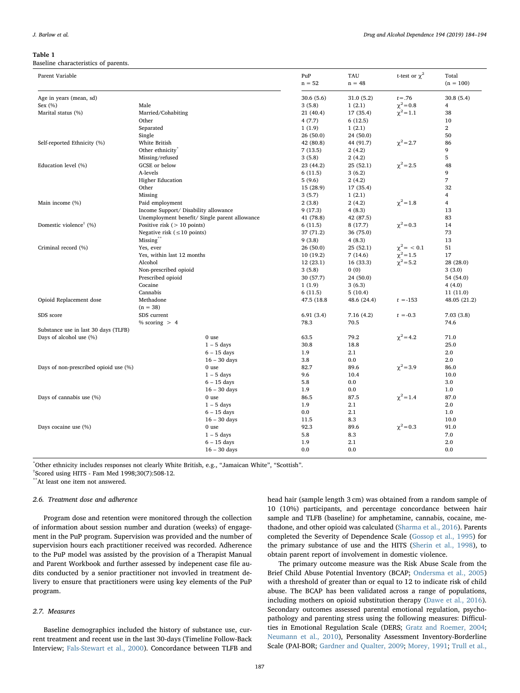#### <span id="page-3-0"></span>Table 1

Baseline characteristics of parents.

| Parent Variable                       |                                               | PuP<br>$n = 52$ | <b>TAU</b><br>$n = 48$ | t-test or $\chi^2$ | Total<br>$(n = 100)$ |
|---------------------------------------|-----------------------------------------------|-----------------|------------------------|--------------------|----------------------|
| Age in years (mean, sd)               |                                               | 30.6(5.6)       | 31.0(5.2)              | $t = .76$          | 30.8(5.4)            |
| Sex $(\% )$                           | Male                                          | 3(5.8)          | 1(2.1)                 | $\chi^2 = 0.8$     | $\overline{4}$       |
| Marital status (%)                    | Married/Cohabiting                            | 21 (40.4)       | 17 (35.4)              | $\chi^2 = 1.1$     | 38                   |
|                                       | Other                                         | 4(7.7)          | 6(12.5)                |                    | 10                   |
|                                       | Separated                                     | 1(1.9)          | 1(2.1)                 |                    | $\mathbf{2}$         |
|                                       | Single                                        | 26(50.0)        | 24 (50.0)              |                    | 50                   |
| Self-reported Ethnicity (%)           | White British                                 | 42 (80.8)       | 44 (91.7)              | $\chi^2$ = 2.7     | 86                   |
|                                       | Other ethnicity <sup>®</sup>                  | 7(13.5)         | 2(4.2)                 |                    | 9                    |
|                                       | Missing/refused                               | 3(5.8)          | 2(4.2)                 |                    | 5                    |
| Education level (%)                   | <b>GCSE</b> or below                          | 23 (44.2)       | 25(52.1)               | $\chi^2$ = 2.5     | 48                   |
|                                       | A-levels                                      | 6(11.5)         | 3(6.2)                 |                    | 9                    |
|                                       | <b>Higher Education</b>                       | 5(9.6)          | 2(4.2)                 |                    | 7                    |
|                                       | Other                                         | 15 (28.9)       | 17 (35.4)              |                    | 32                   |
|                                       | Missing                                       | 3(5.7)          | 1(2.1)                 |                    | 4                    |
| Main income (%)                       | Paid employment                               | 2(3.8)          | 2(4.2)                 | $\chi^2 = 1.8$     | $\overline{4}$       |
|                                       | Income Support/ Disability allowance          | 9(17.3)         | 4(8.3)                 |                    | 13                   |
|                                       | Unemployment benefit/ Single parent allowance | 41 (78.8)       | 42 (87.5)              |                    | 83                   |
| Domestic violence <sup>†</sup> (%)    | Positive risk $($ > 10 points)                | 6(11.5)         | 8(17.7)                | $\chi^2 = 0.3$     | 14                   |
|                                       | Negative risk ( $\leq 10$ points)             | 37 (71.2)       | 36 (75.0)              |                    | 73                   |
|                                       | Missing <sup>**</sup>                         | 9(3.8)          | 4(8.3)                 |                    | 13                   |
| Criminal record (%)                   | Yes, ever                                     | 26(50.0)        | 25(52.1)               | $\chi^2 = 0.1$     | 51                   |
|                                       | Yes, within last 12 months                    | 10 (19.2)       | 7(14.6)                | $\chi^2 = 1.5$     | 17                   |
|                                       | Alcohol                                       | 12 (23.1)       | 16 (33.3)              | $\chi^2 = 5.2$     | 28 (28.0)            |
|                                       | Non-prescribed opioid                         | 3(5.8)          | 0(0)                   |                    | 3(3.0)               |
|                                       | Prescribed opioid                             | 30 (57.7)       | 24 (50.0)              |                    | 54 (54.0)            |
|                                       | Cocaine                                       | 1(1.9)          | 3(6.3)                 |                    | 4(4.0)               |
|                                       | Cannabis                                      | 6(11.5)         | 5(10.4)                |                    | 11(11.0)             |
| Opioid Replacement dose               | Methadone                                     | 47.5 (18.8)     | 48.6 (24.4)            | $t = -153$         | 48.05 (21.2)         |
|                                       | $(n = 38)$                                    |                 |                        |                    |                      |
| SDS score                             | SDS current                                   | 6.91(3.4)       | 7.16(4.2)              | $t = -0.3$         | 7.03(3.8)            |
|                                       | % scoring $> 4$                               | 78.3            | 70.5                   |                    | 74.6                 |
| Substance use in last 30 days (TLFB)  |                                               |                 |                        |                    |                      |
| Days of alcohol use (%)               | 0 use                                         | 63.5            | 79.2                   | $\chi^2$ = 4.2     | 71.0                 |
|                                       | $1 - 5$ days                                  | 30.8            | 18.8                   |                    | 25.0                 |
|                                       | $6 - 15$ days                                 | 1.9             | 2.1                    |                    | 2.0                  |
|                                       | $16 - 30$ days                                | 3.8             | 0.0                    |                    | 2.0                  |
| Days of non-prescribed opioid use (%) | 0 use                                         | 82.7            | 89.6                   | $\chi^2 = 3.9$     | 86.0                 |
|                                       | $1 - 5$ days                                  | 9.6             | 10.4                   |                    | 10.0                 |
|                                       | $6 - 15$ days                                 | 5.8             | 0.0                    |                    | 3.0                  |
|                                       | $16 - 30$ days                                | 1.9             | 0.0                    |                    | 1.0                  |
| Days of cannabis use (%)              | 0 use                                         | 86.5            | 87.5                   | $\chi^2$ = 1.4     | 87.0                 |
|                                       | $1 - 5$ days                                  | 1.9             | 2.1                    |                    | 2.0                  |
|                                       | $6 - 15$ days                                 | 0.0             | 2.1                    |                    | 1.0                  |
|                                       | $16 - 30$ days                                | 11.5            | 8.3                    |                    | 10.0                 |
| Days cocaine use (%)                  | 0 use                                         | 92.3            | 89.6                   | $\chi^2 = 0.3$     | 91.0                 |
|                                       | $1 - 5$ days                                  | 5.8             | 8.3                    |                    | 7.0                  |
|                                       | $6 - 15$ days                                 | 1.9             | 2.1                    |                    | 2.0                  |
|                                       | $16 - 30$ days                                | 0.0             | 0.0                    |                    | 0.0                  |

\* Other ethnicity includes responses not clearly White British, e.g., "Jamaican White", "Scottish".

† Scored using HITS - Fam Med 1998;30(7):508-12.

\*\*At least one item not answered.

#### 2.6. Treatment dose and adherence

Program dose and retention were monitored through the collection of information about session number and duration (weeks) of engagement in the PuP program. Supervision was provided and the number of supervision hours each practitioner received was recorded. Adherence to the PuP model was assisted by the provision of a Therapist Manual and Parent Workbook and further assessed by indepenent case file audits conducted by a senior practitioner not invovled in treatment delivery to ensure that practitioners were using key elements of the PuP program.

## 2.7. Measures

Baseline demographics included the history of substance use, current treatment and recent use in the last 30-days (Timeline Follow-Back Interview; [Fals-Stewart et al., 2000\)](#page-10-22). Concordance between TLFB and

head hair (sample length 3 cm) was obtained from a random sample of 10 (10%) participants, and percentage concordance between hair sample and TLFB (baseline) for amphetamine, cannabis, cocaine, methadone, and other opioid was calculated [\(Sharma et al., 2016](#page-10-23)). Parents completed the Severity of Dependence Scale [\(Gossop et al., 1995\)](#page-10-24) for the primary substance of use and the HITS ([Sherin et al., 1998\)](#page-10-25), to obtain parent report of involvement in domestic violence.

The primary outcome measure was the Risk Abuse Scale from the Brief Child Abuse Potential Inventory (BCAP; [Ondersma et al., 2005\)](#page-10-26) with a threshold of greater than or equal to 12 to indicate risk of child abuse. The BCAP has been validated across a range of populations, including mothers on opioid substitution therapy ([Dawe et al., 2016](#page-10-27)). Secondary outcomes assessed parental emotional regulation, psychopathology and parenting stress using the following measures: Difficulties in Emotional Regulation Scale (DERS; [Gratz and Roemer, 2004](#page-10-28); [Neumann et al., 2010\)](#page-10-29), Personality Assessment Inventory-Borderline Scale (PAI-BOR; [Gardner and Qualter, 2009;](#page-10-30) [Morey, 1991;](#page-10-31) [Trull et al.,](#page-10-32)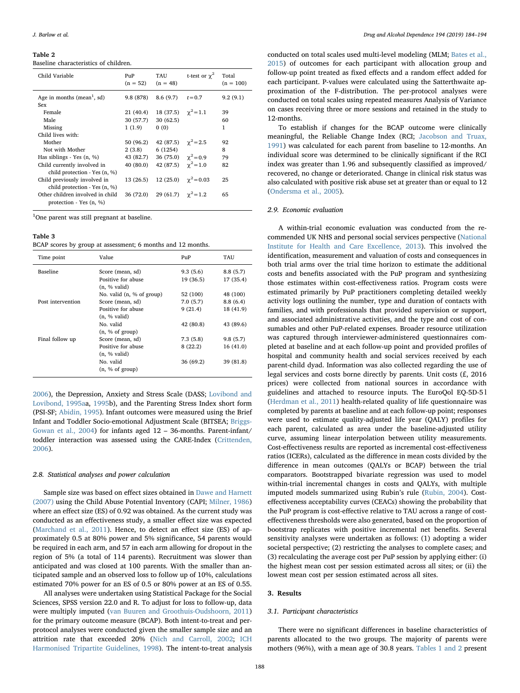#### Table 2

Baseline characteristics of children.

| Child Variable                                                | PuP<br>$(n = 52)$ | TAU<br>$(n = 48)$                    | t-test or $\gamma^2$        | Total<br>$(n = 100)$ |
|---------------------------------------------------------------|-------------------|--------------------------------------|-----------------------------|----------------------|
| Age in months (mean <sup>1</sup> , sd)<br>Sex                 | 9.8 (878)         | 8.6(9.7)                             | $t = 0.7$                   | 9.2(9.1)             |
| Female                                                        | 21 (40.4)         | 18 (37.5) $\gamma^2 = 1.1$           |                             | 39                   |
| Male                                                          | 30 (57.7)         | 30(62.5)                             |                             | 60                   |
| Missing                                                       | 1(1.9)            | 0(0)                                 |                             | 1                    |
| Child lives with:                                             |                   |                                      |                             |                      |
| Mother                                                        | 50 (96.2)         | 42 (87.5) $\gamma^2 = 2.5$           |                             | 92                   |
| Not with Mother                                               | 2(3.8)            | 6(1254)                              |                             | 8                    |
| Has siblings - Yes (n, %)                                     | 43 (82.7)         | 36 (75.0) $\gamma^2 = 0.9$           |                             | 79                   |
| Child currently involved in                                   | 40 (80.0)         | 42 (87.5) $\gamma^2 = 1.0$           |                             | 82                   |
| child protection - Yes (n, %)                                 |                   |                                      |                             |                      |
| Child previously involved in                                  | 13 (26.5)         |                                      | 12 (25.0) $\gamma^2 = 0.03$ | 25                   |
| child protection - Yes (n, %)                                 |                   |                                      |                             |                      |
| Other children involved in child<br>protection - Yes $(n, %)$ |                   | 36 (72.0) 29 (61.7) $\gamma^2 = 1.2$ |                             | 65                   |

<sup>1</sup>One parent was still pregnant at baseline.

#### <span id="page-4-0"></span>Table 3

BCAP scores by group at assessment; 6 months and 12 months.

| Time point        | Value                     | PuP       | TAU       |
|-------------------|---------------------------|-----------|-----------|
| Baseline          | Score (mean, sd)          | 9.3(5.6)  | 8.8(5.7)  |
|                   | Positive for abuse        | 19 (36.5) | 17 (35.4) |
|                   | $(n, %$ valid)            |           |           |
|                   | No. valid (n, % of group) | 52 (100)  | 48 (100)  |
| Post intervention | Score (mean, sd)          | 7.0(5.7)  | 8.8(6.4)  |
|                   | Positive for abuse        | 9(21.4)   | 18 (41.9) |
|                   | (n. % valid)              |           |           |
|                   | No. valid                 | 42 (80.8) | 43 (89.6) |
|                   | (n, % of group)           |           |           |
| Final follow up   | Score (mean, sd)          | 7.3(5.8)  | 9.8(5.7)  |
|                   | Positive for abuse        | 8(22.2)   | 16(41.0)  |
|                   | $(n, %$ valid $)$         |           |           |
|                   | No. valid                 | 36 (69.2) | 39 (81.8) |
|                   | (n, % of group)           |           |           |

[2006\)](#page-10-32), the Depression, Anxiety and Stress Scale (DASS; [Lovibond and](#page-10-33) [Lovibond, 1995aa](#page-10-33), [1995](#page-10-34)b), and the Parenting Stress Index short form (PSI-SF; [Abidin, 1995\)](#page-9-2). Infant outcomes were measured using the Brief Infant and Toddler Socio-emotional Adjustment Scale (BITSEA; [Briggs-](#page-9-3)[Gowan et al., 2004](#page-9-3)) for infants aged 12 – 36-months. Parent-infant/ toddler interaction was assessed using the CARE-Index [\(Crittenden,](#page-10-35) [2006\)](#page-10-35).

#### 2.8. Statistical analyses and power calculation

Sample size was based on effect sizes obtained in [Dawe and Harnett](#page-10-14) [\(2007\)](#page-10-14) using the Child Abuse Potential Inventory (CAPI; [Milner, 1986\)](#page-10-36) where an effect size (ES) of 0.92 was obtained. As the current study was conducted as an effectiveness study, a smaller effect size was expected ([Marchand et al., 2011\)](#page-10-19). Hence, to detect an effect size (ES) of approximately 0.5 at 80% power and 5% significance, 54 parents would be required in each arm, and 57 in each arm allowing for dropout in the region of 5% (a total of 114 parents). Recruitment was slower than anticipated and was closed at 100 parents. With the smaller than anticipated sample and an observed loss to follow up of 10%, calculations estimated 70% power for an ES of 0.5 or 80% power at an ES of 0.55.

All analyses were undertaken using Statistical Package for the Social Sciences, SPSS version 22.0 and R. To adjust for loss to follow-up, data were multiply imputed ([van Buuren and Groothuis-Oudshoorn, 2011\)](#page-10-37) for the primary outcome measure (BCAP). Both intent-to-treat and perprotocol analyses were conducted given the smaller sample size and an attrition rate that exceeded 20% [\(Nich and Carroll, 2002;](#page-10-38) [ICH](#page-10-39) [Harmonised Tripartite Guidelines, 1998](#page-10-39)). The intent-to-treat analysis

conducted on total scales used multi-level modeling (MLM; [Bates et al.,](#page-9-4) [2015\)](#page-9-4) of outcomes for each participant with allocation group and follow-up point treated as fixed effects and a random effect added for each participant. P-values were calculated using the Satterthwaite approximation of the F-distribution. The per-protocol analyses were conducted on total scales using repeated measures Analysis of Variance on cases receiving three or more sessions and retained in the study to 12-months.

To establish if changes for the BCAP outcome were clinically meaningful, the Reliable Change Index (RCI; [Jacobson and Truax,](#page-10-40) [1991\)](#page-10-40) was calculated for each parent from baseline to 12-months. An individual score was determined to be clinically significant if the RCI index was greater than 1.96 and subsequently classified as improved/ recovered, no change or deteriorated. Change in clinical risk status was also calculated with positive risk abuse set at greater than or equal to 12 ([Ondersma et al., 2005\)](#page-10-26).

## 2.9. Economic evaluation

A within-trial economic evaluation was conducted from the recommended UK NHS and personal social services perspective [\(National](#page-10-41) [Institute for Health and Care Excellence, 2013\)](#page-10-41). This involved the identification, measurement and valuation of costs and consequences in both trial arms over the trial time horizon to estimate the additional costs and benefits associated with the PuP program and synthesizing those estimates within cost-effectiveness ratios. Program costs were estimated primarily by PuP practitioners completing detailed weekly activity logs outlining the number, type and duration of contacts with families, and with professionals that provided supervision or support, and associated administrative activities, and the type and cost of consumables and other PuP-related expenses. Broader resource utilization was captured through interviewer-administered questionnaires completed at baseline and at each follow-up point and provided profiles of hospital and community health and social services received by each parent-child dyad. Information was also collected regarding the use of legal services and costs borne directly by parents. Unit costs (£, 2016 prices) were collected from national sources in accordance with guidelines and attached to resource inputs. The EuroQol EQ-5D-5 l ([Herdman et al., 2011\)](#page-10-42) health-related quality of life questionnaire was completed by parents at baseline and at each follow-up point; responses were used to estimate quality-adjusted life year (QALY) profiles for each parent, calculated as area under the baseline-adjusted utility curve, assuming linear interpolation between utility measurements. Cost-effectiveness results are reported as incremental cost-effectiveness ratios (ICERs), calculated as the difference in mean costs divided by the difference in mean outcomes (QALYs or BCAP) between the trial comparators. Bootstrapped bivariate regression was used to model within-trial incremental changes in costs and QALYs, with multiple imputed models summarized using Rubin's rule ([Rubin, 2004](#page-10-43)). Costeffectiveness acceptability curves (CEACs) showing the probability that the PuP program is cost-effective relative to TAU across a range of costeffectiveness thresholds were also generated, based on the proportion of bootstrap replicates with positive incremental net benefits. Several sensitivity analyses were undertaken as follows: (1) adopting a wider societal perspective; (2) restricting the analyses to complete cases; and (3) recalculating the average cost per PuP session by applying either: (i) the highest mean cost per session estimated across all sites; or (ii) the lowest mean cost per session estimated across all sites.

## 3. Results

#### 3.1. Participant characteristics

There were no significant differences in baseline characteristics of parents allocated to the two groups. The majority of parents were mothers (96%), with a mean age of 30.8 years. [Tables 1 and 2](#page-3-0) present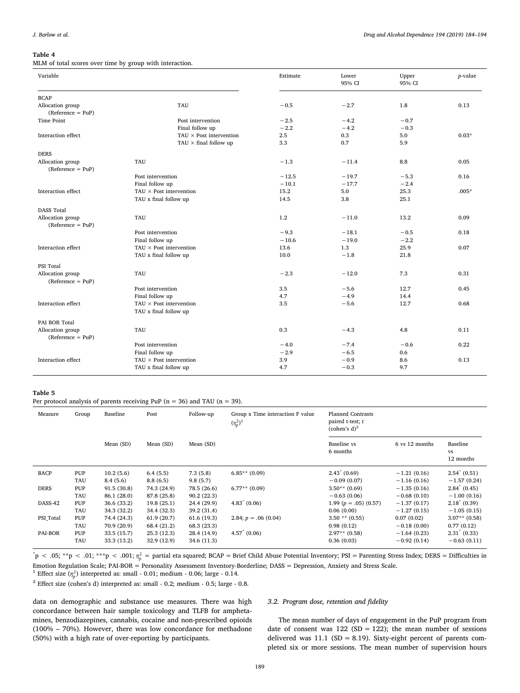#### J. Barlow et al. *Drug and Alcohol Dependence 194 (2019) 184–194*

#### <span id="page-5-0"></span>Table 4

MLM of total scores over time by group with interaction.

| Variable                                |                                 | Estimate | Lower<br>95% CI | Upper<br>95% CI | $p$ -value |
|-----------------------------------------|---------------------------------|----------|-----------------|-----------------|------------|
| <b>BCAP</b>                             |                                 |          |                 |                 |            |
| Allocation group<br>$(Reference = PuP)$ | <b>TAU</b>                      | $-0.5$   | $-2.7$          | 1.8             | 0.13       |
| <b>Time Point</b>                       | Post intervention               | $-2.5$   | $-4.2$          | $-0.7$          |            |
|                                         | Final follow up                 | $-2.2$   | $-4.2$          | $-0.3$          |            |
| Interaction effect                      | TAU $\times$ Post intervention  | 2.5      | 0.3             | 5.0             | $0.03*$    |
|                                         | TAU $\times$ final follow up    | 3.3      | 0.7             | 5.9             |            |
| <b>DERS</b>                             |                                 |          |                 |                 |            |
| Allocation group<br>$(Reference = PuP)$ | <b>TAU</b>                      | $-1.3$   | $-11.4$         | 8.8             | 0.05       |
|                                         | Post intervention               | $-12.5$  | $-19.7$         | $-5.3$          | 0.16       |
|                                         | Final follow up                 | $-10.1$  | $-17.7$         | $-2.4$          |            |
| Interaction effect                      | $TAIJ \times Post$ intervention | 15.2     | 5.0             | 25.3            | $.005*$    |
|                                         | TAU x final follow up           | 14.5     | 3.8             | 25.1            |            |
| <b>DASS Total</b>                       |                                 |          |                 |                 |            |
| Allocation group<br>$(Reference = PuP)$ | <b>TAU</b>                      | 1.2      | $-11.0$         | 13.2            | 0.09       |
|                                         | Post intervention               | $-9.3$   | $-18.1$         | $-0.5$          | 0.18       |
|                                         | Final follow up                 | $-10.6$  | $-19.0$         | $-2.2$          |            |
| Interaction effect                      | TAU $\times$ Post intervention  | 13.6     | 1.3             | 25.9            | 0.07       |
|                                         | TAU x final follow up           | 10.0     | $-1.8$          | 21.8            |            |
| PSI Total                               |                                 |          |                 |                 |            |
| Allocation group<br>$(Reference = PuP)$ | TAU                             | $-2.3$   | $-12.0$         | 7.3             | 0.31       |
|                                         | Post intervention               | 3.5      | $-5.6$          | 12.7            | 0.45       |
|                                         | Final follow up                 | 4.7      | $-4.9$          | 14.4            |            |
| Interaction effect                      | $TAIJ \times Post$ intervention | 3.5      | $-5.6$          | 12.7            | 0.68       |
|                                         | TAU x final follow up           |          |                 |                 |            |
| PAI BOR Total                           |                                 |          |                 |                 |            |
| Allocation group<br>$(Reference = PuP)$ | <b>TAU</b>                      | 0.3      | $-4.3$          | 4.8             | 0.11       |
|                                         | Post intervention               | $-4.0$   | $-7.4$          | $-0.6$          | 0.22       |
|                                         | Final follow up                 | $-2.9$   | $-6.5$          | 0.6             |            |
| Interaction effect                      | TAU $\times$ Post intervention  | 3.9      | $-0.9$          | 8.6             | 0.13       |
|                                         | TAU x final follow up           | 4.7      | $-0.3$          | 9.7             |            |

## <span id="page-5-1"></span>Table 5

Per protocol analysis of parents receiving PuP ( $n = 36$ ) and TAU ( $n = 39$ ).

| Measure        | Group | Baseline    | Post        | Follow-up   | Group x Time interaction F value<br>$(\eta_p^2)^1$ | <b>Planned Contrasts</b><br>paired t-test; $t$<br>(cohen's $d$ ) <sup>2</sup> |                |                                    |
|----------------|-------|-------------|-------------|-------------|----------------------------------------------------|-------------------------------------------------------------------------------|----------------|------------------------------------|
|                |       | Mean (SD)   | Mean (SD)   | Mean (SD)   |                                                    | Baseline vs<br>6 months                                                       | 6 vs 12 months | Baseline<br><b>VS</b><br>12 months |
| <b>BACP</b>    | PUP   | 10.2(5.6)   | 6.4(5.5)    | 7.3(5.8)    | $6.85**$ (0.09)                                    | $2.43^{\degree}$ (0.69)                                                       | $-1.21(0.16)$  | $2.54^* (0.51)$                    |
|                | TAU   | 8.4(5.6)    | 8.8(6.5)    | 9.8(5.7)    |                                                    | $-0.09(0.07)$                                                                 | $-1.16(0.16)$  | $-1.57(0.24)$                      |
| <b>DERS</b>    | PUP   | 91.5(30.8)  | 74.3 (24.9) | 78.5 (26.6) | $6.77**$ (0.09)                                    | $3.50**$ (0.69)                                                               | $-1.35(0.16)$  | $2.84^{\circ}$ (0.45)              |
|                | TAU   | 86.1 (28.0) | 87.8 (25.8) | 90.2(22.3)  |                                                    | $-0.63(0.06)$                                                                 | $-0.68(0.10)$  | $-1.00(0.16)$                      |
| DASS-42        | PUP   | 36.6 (33.2) | 19.8(25.1)  | 24.4 (29.9) | $4.83^{\circ}$ (0.06)                              | 1.99 ( $p = .05$ ) (0.57)                                                     | $-1.37(0.17)$  | $2.18^* (0.39)$                    |
|                | TAU   | 34.3 (32.2) | 34.4 (32.3) | 39.2 (31.4) |                                                    | 0.06(0.00)                                                                    | $-1.27(0.15)$  | $-1.05(0.15)$                      |
| PSI Total      | PUP   | 74.4 (24.3) | 61.9(20.7)  | 61.6(19.3)  | 2.84; $p = .06(0.04)$                              | $3.50$ ** $(0.55)$                                                            | 0.07(0.02)     | $3.07**$ (0.58)                    |
|                | TAU   | 70.9 (20.9) | 68.4 (21.2) | 68.3 (23.3) |                                                    | 0.98(0.12)                                                                    | $-0.18(0.00)$  | 0.77(0.12)                         |
| <b>PAI-BOR</b> | PUP   | 33.5 (15.7) | 25.3(12.3)  | 28.4 (14.9) | $4.57^{\degree}$ (0.06)                            | $2.97**$ (0.58)                                                               | $-1.64(0.23)$  | $2.31^{\degree}$ (0.33)            |
|                | TAU   | 33.3 (13.2) | 32.9 (12.9) | 34.6 (11.3) |                                                    | 0.36(0.03)                                                                    | $-0.92(0.14)$  | $-0.63(0.11)$                      |

 $p^*$   $>$  .05;  $*$  $p$   $<$  .01;  $*$  $*$  $p$   $<$  .001;  $\eta_p^2$  = partial eta squared; BCAP = Brief Child Abuse Potential Inventory; PSI = Parenting Stress Index; DERS = Difficulties in Emotion Regulation Scale; PAI-BOR = Personality Assessment Inventory-Borderline; DASS = Depression, Anxiety and Stress Scale.

<sup>1</sup> Effect size  $(\eta_p^2)$  interpreted as: small - 0.01; medium - 0.06; large - 0.14.

 $^{\rm 2}$  Effect size (cohen's d) interpreted as: small - 0.2; medium - 0.5; large - 0.8.

data on demographic and substance use measures. There was high concordance between hair sample toxicology and TLFB for amphetamines, benzodiazepines, cannabis, cocaine and non-prescribed opioids (100% – 70%). However, there was low concordance for methadone (50%) with a high rate of over-reporting by participants.

#### 3.2. Program dose, retention and fidelity

The mean number of days of engagement in the PuP program from date of consent was  $122$  (SD = 122); the mean number of sessions delivered was  $11.1$  (SD = 8.19). Sixty-eight percent of parents completed six or more sessions. The mean number of supervision hours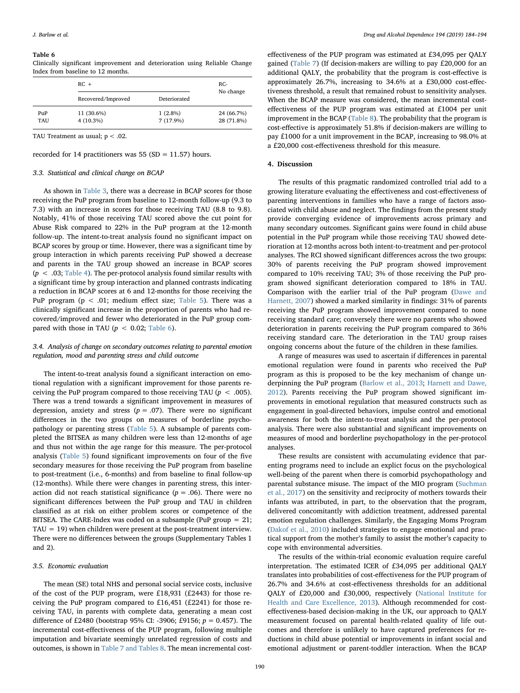#### <span id="page-6-0"></span>Table 6

Clinically significant improvement and deterioration using Reliable Change Index from baseline to 12 months.

|           | $RC +$             |              | $RC-$      |
|-----------|--------------------|--------------|------------|
|           | Recovered/Improved | Deteriorated | No change  |
| $P_{11}P$ | 11 (30.6%)         | $1(2.8\%)$   | 24 (66.7%) |
| TAU       | $4(10.3\%)$        | $7(17.9\%)$  | 28 (71.8%) |

TAU Treatment as usual;  $p < .02$ .

recorded for 14 practitioners was  $55 (SD = 11.57)$  hours.

#### 3.3. Statistical and clinical change on BCAP

As shown in [Table 3,](#page-4-0) there was a decrease in BCAP scores for those receiving the PuP program from baseline to 12-month follow-up (9.3 to 7.3) with an increase in scores for those receiving TAU (8.8 to 9.8). Notably, 41% of those receiving TAU scored above the cut point for Abuse Risk compared to 22% in the PuP program at the 12-month follow-up. The intent-to-treat analysis found no significant impact on BCAP scores by group or time. However, there was a significant time by group interaction in which parents receiving PuP showed a decrease and parents in the TAU group showed an increase in BCAP scores  $(p < .03;$  [Table 4](#page-5-0)). The per-protocol analysis found similar results with a significant time by group interaction and planned contrasts indicating a reduction in BCAP scores at 6 and 12-months for those receiving the PuP program ( $p < .01$ ; medium effect size; [Table 5](#page-5-1)). There was a clinically significant increase in the proportion of parents who had recovered/improved and fewer who deteriorated in the PuP group compared with those in TAU ( $p < 0.02$ ; [Table 6\)](#page-6-0).

## 3.4. Analysis of change on secondary outcomes relating to parental emotion regulation, mood and parenting stress and child outcome

The intent-to-treat analysis found a significant interaction on emotional regulation with a significant improvement for those parents receiving the PuP program compared to those receiving TAU ( $p < .005$ ). There was a trend towards a significant improvement in measures of depression, anxiety and stress ( $p = .07$ ). There were no significant differences in the two groups on measures of borderline psychopathology or parenting stress ([Table 5\)](#page-5-1). A subsample of parents completed the BITSEA as many children were less than 12-months of age and thus not within the age range for this measure. The per-protocol analysis ([Table 5\)](#page-5-1) found significant improvements on four of the five secondary measures for those receiving the PuP program from baseline to post-treatment (i.e., 6-months) and from baseline to final follow-up (12-months). While there were changes in parenting stress, this interaction did not reach statistical significance ( $p = .06$ ). There were no significant differences between the PuP group and TAU in children classified as at risk on either problem scores or competence of the BITSEA. The CARE-Index was coded on a subsample (PuP group  $= 21$ ;  $TAU = 19$ ) when children were present at the post-treatment interview. There were no differences between the groups (Supplementary Tables 1 and 2).

## 3.5. Economic evaluation

The mean (SE) total NHS and personal social service costs, inclusive of the cost of the PUP program, were £18,931 (£2443) for those receiving the PuP program compared to £16,451 (£2241) for those receiving TAU, in parents with complete data, generating a mean cost difference of £2480 (bootstrap 95% CI: -3906; £9156;  $p = 0.457$ ). The incremental cost-effectiveness of the PUP program, following multiple imputation and bivariate seemingly unrelated regression of costs and outcomes, is shown in [Table 7 and Tables 8.](#page-7-0) The mean incremental costeffectiveness of the PUP program was estimated at £34,095 per QALY gained ([Table 7](#page-7-0)) (If decision-makers are willing to pay £20,000 for an additional QALY, the probability that the program is cost-effective is approximately 26.7%, increasing to 34.6% at a £30,000 cost-effectiveness threshold, a result that remained robust to sensitivity analyses. When the BCAP measure was considered, the mean incremental costeffectiveness of the PUP program was estimated at £1004 per unit improvement in the BCAP [\(Table 8](#page-8-0)). The probability that the program is cost-effective is approximately 51.8% if decision-makers are willing to pay £1000 for a unit improvement in the BCAP, increasing to 98.0% at a £20,000 cost-effectiveness threshold for this measure.

#### 4. Discussion

The results of this pragmatic randomized controlled trial add to a growing literature evaluating the effectiveness and cost-effectiveness of parenting interventions in families who have a range of factors associated with child abuse and neglect. The findings from the present study provide converging evidence of improvements across primary and many secondary outcomes. Significant gains were found in child abuse potential in the PuP program while those receiving TAU showed deterioration at 12-months across both intent-to-treatment and per-protocol analyses. The RCI showed significant differences across the two groups: 30% of parents receiving the PuP program showed improvement compared to 10% receiving TAU; 3% of those receiving the PuP program showed significant deterioration compared to 18% in TAU. Comparison with the earlier trial of the PuP program [\(Dawe and](#page-10-14) [Harnett, 2007](#page-10-14)) showed a marked similarity in findings: 31% of parents receiving the PuP program showed improvement compared to none receiving standard care; conversely there were no parents who showed deterioration in parents receiving the PuP program compared to 36% receiving standard care. The deterioration in the TAU group raises ongoing concerns about the future of the children in these families.

A range of measures was used to ascertain if differences in parental emotional regulation were found in parents who received the PuP program as this is proposed to be the key mechanism of change underpinning the PuP program [\(Barlow et al., 2013](#page-9-5); [Harnett and Dawe,](#page-10-44) [2012\)](#page-10-44). Parents receiving the PuP program showed significant improvements in emotional regulation that measured constructs such as engagement in goal-directed behaviors, impulse control and emotional awareness for both the intent-to-treat analysis and the per-protocol analysis. There were also substantial and significant improvements on measures of mood and borderline psychopathology in the per-protocol analyses.

These results are consistent with accumulating evidence that parenting programs need to include an explict focus on the psychological well-being of the parent when there is comorbid psychopathology and parental substance misuse. The impact of the MIO program [\(Suchman](#page-10-9) et [al., 2017\)](#page-10-9) on the sensitivity and reciprocity of mothers towards their infants was attributed, in part, to the observation that the program, delivered concomitantly with addiction treatment, addressed parental emotion regulation challenges. Similarly, the Engaging Moms Program ([Dakof et al., 2010\)](#page-10-7) included strategies to engage emotional and practical support from the mother's family to assist the mother's capacity to cope with environmental adversities.

The results of the within-trial economic evaluation require careful interpretation. The estimated ICER of £34,095 per additional QALY translates into probabilities of cost-effectiveness for the PUP program of 26.7% and 34.6% at cost-effectiveness thresholds for an additional QALY of £20,000 and £30,000, respectively [\(National Institute for](#page-10-41) [Health and Care Excellence, 2013\)](#page-10-41). Although recommended for costeffectiveness-based decision-making in the UK, our approach to QALY measurement focused on parental health-related quality of life outcomes and therefore is unlikely to have captured preferences for reductions in child abuse potential or improvements in infant social and emotional adjustment or parent-toddler interaction. When the BCAP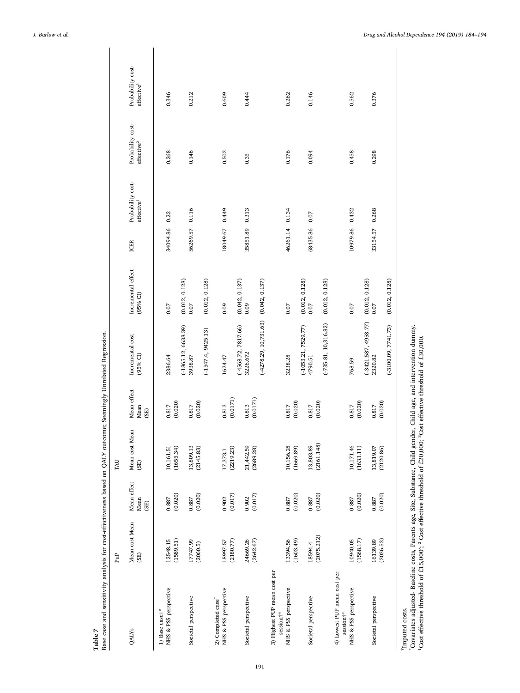<span id="page-7-0"></span>

| money the case finite fire means come come                                    |                        |                             |                         |                             |                                                            |                                          |             |                                             |                                             |                                             |
|-------------------------------------------------------------------------------|------------------------|-----------------------------|-------------------------|-----------------------------|------------------------------------------------------------|------------------------------------------|-------------|---------------------------------------------|---------------------------------------------|---------------------------------------------|
|                                                                               | PuP                    |                             | TAU                     |                             |                                                            |                                          |             |                                             |                                             |                                             |
| QALY <sub>s</sub>                                                             | Mean cost Mean<br>(SE) | Mean effect<br>Mean<br>(SE) | Mean cost Mean<br>(SE)  | Mean effect<br>Mean<br>(SE) | Incremental cost<br>$(95%$ CI                              | Incremental effect<br>(95% CI)           | <b>ICER</b> | Probability cost-<br>effective <sup>1</sup> | Probability cost-<br>effective <sup>2</sup> | Probability cost-<br>effective <sup>3</sup> |
| NHS & PSS perspective<br>1) Base case <sup>†*</sup>                           | 12548.15<br>(1589.51)  | (0.020)<br>0.887            | (1655.34)<br>10,161.51  | (0.020)<br>0.817            | $(-1865.12, 6638.39)$<br>2386.64                           | (0.012, 0.128)<br>0.07                   | 34094.86    | 0.22                                        | 0.268                                       | 0.346                                       |
| Societal perspective                                                          | 17747.99<br>(2060.5)   | $0.887$ $(0.020)$           | 13,809.13<br>(2145.83)  | (0.020)<br>0.817            | $(-1547.4, 9425.13)$<br>3938.87                            | (0.012, 0.128)<br>0.07                   | 56269.57    | 0.116                                       | 0.146                                       | 0.212                                       |
| NHS & PSS perspective<br>2) Completed case <sup>*</sup>                       | (2180.77)<br>18997.57  | (0.017)<br>0.902            | (2219.23)<br>17,373.1   | (0.0171)<br>0.813           | $(-4568.72, 7817.66)$<br>1624.47                           | (0.042, 0.137)<br>0.09                   | 18049.67    | 0.449                                       | 0.502                                       | 0.609                                       |
| Societal perspective                                                          | 24669.26<br>(2642.67)  | $0.902$<br>$(0.017)$        | 21, 442.59<br>(2689.28) | (0.0171)<br>0.813           | $(-4278.29, 10, 731.63)$<br>3226.672                       | (0.042, 0.137)<br>0.09                   | 35851.89    | 0.313                                       | 0.35                                        | 0.444                                       |
| 3) Highest PUP mean cost per<br>session†*                                     |                        |                             |                         |                             |                                                            |                                          |             |                                             |                                             |                                             |
| NHS & PSS perspective                                                         | 13394.56<br>(1603.49)  | (0.020)<br>0.887            | 10,156.28<br>(1669.89)  | (0.020)<br>0.817            | $(-1053.21, 7529.77)$<br>3238.28                           | (0.012, 0.128)<br>0.07                   | 46261.14    | 0.134                                       | 0.176                                       | 0.262                                       |
| Societal perspective                                                          | (2075.212)<br>18594.4  | (0.020)<br>0.887            | (2161.148)<br>13,803.89 | (0.020)<br>0.817            | $(-735.81, 10, 316.82)$<br>4790.51                         | (0.012, 0.128)<br>0.07                   | 68435.86    | 0.07                                        | 0.094                                       | 0.146                                       |
| 4) Lowest PUP mean cost per<br>NHS & PSS perspective<br>session <sup>†*</sup> | 10940.05<br>(1568.17)  | (0.020)<br>0.887            | 10,171.46<br>(1633.11)  | (0.020)<br>0.817            | 768.59                                                     | 0.07                                     | 10979.86    | 0.432                                       | 0.458                                       | 0.562                                       |
| Societal perspective                                                          | 16139.89<br>(2036.53)  | (0.020)<br>0.887            | 13,819.07<br>(2120.86)  | (0.020)<br>0.817            | $(-3421.587, 4958.77)$<br>$(-3100.09, 7741.73)$<br>2320.82 | (0.012, 0.128)<br>(0.012, 0.128)<br>0.07 | 33154.57    | 0.268                                       | 0.298                                       | 0.376                                       |
|                                                                               |                        |                             |                         |                             |                                                            |                                          |             |                                             |                                             |                                             |

Table 7<br>Base case and sensitivity analysis for cost-effectiveness based on QALY outcome; Seemingly Unrelated Regression. Base case and sensitivity analysis for cost-effectiveness based on QALY outcome; Seemingly Unrelated Regression.

†Imputed costs.

<sup>&#</sup>x27;imputed costs.<br>"Covariates adjusted- Baseline costs, Parents age, Site, Substance, Child gender, Child age, and intervention dummy.<br>"Cost effective threshold of £15,000'; <sup>2</sup> Cost effective threshold of £20,000; <sup>3</sup>Cost \*Covariates adjusted- Baseline costs, Parents age, Site, Substance, Child gender, Child age, and intervention dummy. ¹Cost effective threshold of £15,000′; ² Cost effective threshold of £20,000; ³Cost effective threshold of £30,000.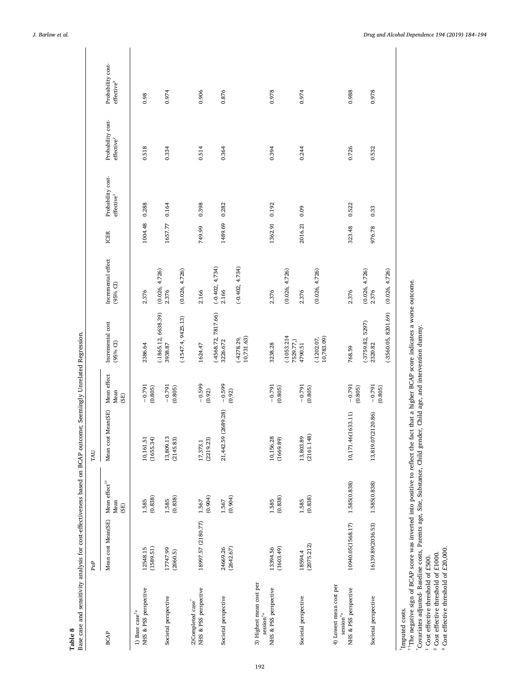<span id="page-8-0"></span>

| Base case and sensitivity analysis for cost-effectiveness based on BCAP outcome; Seemingly Unrelated Regression. |                       |                                                   |                         |                             |                                 |                                  |             |                                             |                                             |                                             |
|------------------------------------------------------------------------------------------------------------------|-----------------------|---------------------------------------------------|-------------------------|-----------------------------|---------------------------------|----------------------------------|-------------|---------------------------------------------|---------------------------------------------|---------------------------------------------|
|                                                                                                                  | PuP <sub></sub>       |                                                   | TAU                     |                             |                                 |                                  |             |                                             |                                             |                                             |
| <b>BCAP</b>                                                                                                      | Mean cost Mean(SE)    | Mean effect $^{\uparrow\uparrow}$<br>Mean<br>(SE) | cost Mean(SE)<br>Mean   | Mean effect<br>Mean<br>(SE) | Incremental cost<br>(95% CI)    | Incremental effect<br>$(95%$ CI) | <b>ICER</b> | Probability cost-<br>effective <sup>1</sup> | Probability cost-<br>effective <sup>2</sup> | Probability cost-<br>effective <sup>3</sup> |
| NHS & PSS perspective<br>1) Base case $^{\uparrow\star}$                                                         | 12548.15              | 1.585                                             | 10,161.51               | $-0.791$                    | 2386.64                         | 2.376                            | 1004.48     | 0.288                                       | 0.518                                       | 0.98                                        |
|                                                                                                                  | (1589.51)             | (0.838)                                           | (1655.34)               | (0.805)                     | $(-1865.12, 6638.39)$           | (0.026, 4.726)                   |             |                                             |                                             |                                             |
| Societal perspective                                                                                             | 17747.99<br>(2060.5)  | (0.838)<br>1.585                                  | 13,809.13<br>(2145.83)  | $-0.791$<br>(0.805)         | $(-1547.4, 9425.13)$<br>3938.87 | (0.026, 4.726)<br>2.376          | 1657.77     | 0.164                                       | 0.334                                       | 0.974                                       |
| 2)Completed case*                                                                                                |                       |                                                   |                         |                             |                                 |                                  |             |                                             |                                             |                                             |
| NHS & PSS perspective                                                                                            | 18997.57 (2180.77)    | (0.904)<br>1.567                                  | (2219.23)<br>17,373.1   | $-0.599$<br>(0.92)          | 1624.47                         | 2.166                            | 749.99      | 0.398                                       | 0.514                                       | 0.906                                       |
|                                                                                                                  |                       |                                                   |                         |                             | $(-4568.72, 7817.66)$           | $(-0.402, 4.734)$                |             |                                             |                                             |                                             |
| Societal perspective                                                                                             | (2642.67)<br>24669.26 | (0.904)<br>1.567                                  | 21,442.59 (2689.28)     | $-0.599$<br>(0.92)          | 3226.672                        | 2.166                            | 1489.69     | 0.282                                       | 0.364                                       | 0.876                                       |
|                                                                                                                  |                       |                                                   |                         |                             | 10,731.63)<br>(4278.29,         | $(-0.402, 4.734)$                |             |                                             |                                             |                                             |
| 3) Highest mean cost per<br>$\mathrm{session}^{\dagger*}$                                                        |                       |                                                   |                         |                             |                                 |                                  |             |                                             |                                             |                                             |
| NHS & PSS perspective                                                                                            | 13394.56              | (0.838)<br>1.585                                  | 10,156.28<br>(1669.89)  | $-0.791$                    | 3238.28                         | 2.376                            | 1362.91     | 0.192                                       | 0.394                                       | 0.978                                       |
|                                                                                                                  | (1603.49)             |                                                   |                         | (0.805)                     | $(-1053.214$<br>7529.77,)       | (0.026, 4.726)                   |             |                                             |                                             |                                             |
| Societal perspective                                                                                             | (2075.212)<br>18594.4 | (0.838)<br>1.585                                  | (2161.148)<br>13,803.89 | $-0.791$<br>(0.805)         | 4790.51                         | 2.376                            | 2016.21     | 0.09                                        | 0.244                                       | 0.974                                       |
|                                                                                                                  |                       |                                                   |                         |                             | 10,783.09)<br>$(-1202.07,$      | (0.026, 4.726)                   |             |                                             |                                             |                                             |
| 4) Lowest mean cost per<br>$\text{session}^{\dagger *}$                                                          |                       |                                                   |                         |                             |                                 |                                  |             |                                             |                                             |                                             |
| NHS & PSS perspective                                                                                            | 10940.05(1568.17)     | 1.585(0.838)                                      | 10,171.46(1633.11)      | $-0.791$<br>(0.805)         | 768.59                          | 2.376                            | 323.48      | 0.522                                       | 0.726                                       | 0.988                                       |
| Societal perspective                                                                                             | 16139.89(2036.53)     | 1.585(0.838)                                      | 9.07(2120.86)<br>13,81  | $-0.791$                    | $(-3759.82, 5297)$<br>2320.82   | (0.026, 4.726)<br>2.376          | 976.78      | 0.33                                        | 0.532                                       | 0.978                                       |
|                                                                                                                  |                       |                                                   |                         | (0.805)                     |                                 |                                  |             |                                             |                                             |                                             |
|                                                                                                                  |                       |                                                   |                         |                             | $(-3560.05, 8201.69)$           | (0.026, 4.726)                   |             |                                             |                                             |                                             |
| <sup>†</sup> Imputed costs.                                                                                      |                       |                                                   |                         |                             |                                 |                                  |             |                                             |                                             |                                             |

 $<sup>††</sup>$ The negative sign of BCAP score was inverted into positive to reflect the fact that a higher BCAP score indicates a worse outcome.</sup>

<sup>tr</sup>The negative sign of BCAP score was inverted into positive to reflect the fact that a higher BCAP score indicates a worse outcome.<br>"Covariates adjusted- Baseline costs, Parents age, Site, Substance, Child gender, Child \*Covariates adjusted- Baseline costs, Parents age, Site, Substance, Child gender, Child age, and intervention dummy.

<sup>1</sup> Cost effective threshold of £500. ² Cost effective threshold of £1000.

 $^1$  Cost effective threshold of E500.<br> $^2$  Cost effective threshold of £1000.<br> $^3$  Cost effective threshold of £20,000. ³ Cost effective threshold of £20,000.

 $\overline{\phantom{a}}$ 

Table 8

 $\overline{\phantom{a}}$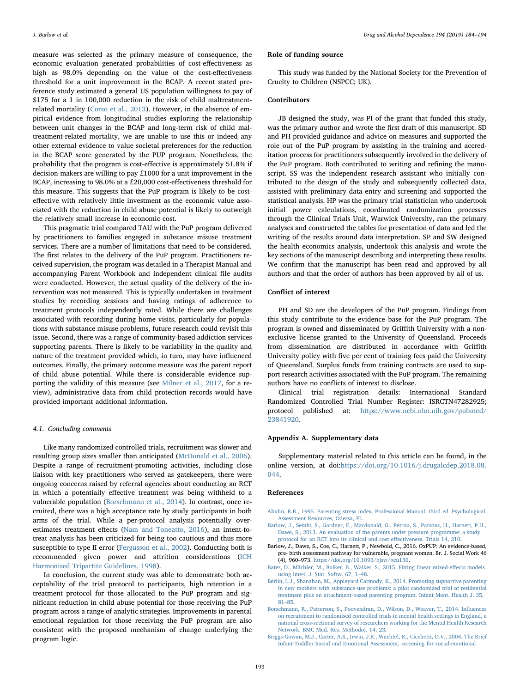measure was selected as the primary measure of consequence, the economic evaluation generated probabilities of cost-effectiveness as high as 98.0% depending on the value of the cost-effectiveness threshold for a unit improvement in the BCAP. A recent stated preference study estimated a general US population willingness to pay of \$175 for a 1 in 100,000 reduction in the risk of child maltreatmentrelated mortality [\(Corso et al., 2013](#page-10-45)). However, in the absence of empirical evidence from longitudinal studies exploring the relationship between unit changes in the BCAP and long-term risk of child maltreatment-related mortality, we are unable to use this or indeed any other external evidence to value societal preferences for the reduction in the BCAP score generated by the PUP program. Nonetheless, the probability that the program is cost-effective is approximately 51.8% if decision-makers are willing to pay £1000 for a unit improvement in the BCAP, increasing to 98.0% at a £20,000 cost-effectiveness threshold for this measure. This suggests that the PuP program is likely to be costeffective with relatively little investment as the economic value associated with the reduction in child abuse potential is likely to outweigh the relatively small increase in economic cost.

This pragmatic trial compared TAU with the PuP program delivered by practitioners to families engaged in substance misuse treatment services. There are a number of limitations that need to be considered. The first relates to the delivery of the PuP program. Practitioners received supervision, the program was detailed in a Therapist Manual and accompanying Parent Workbook and independent clinical file audits were conducted. However, the actual quality of the delivery of the intervention was not measured. This is typically undertaken in treatment studies by recording sessions and having ratings of adherence to treatment protocols independently rated. While there are challenges associated with recording during home visits, particularly for populations with substance misuse problems, future research could revisit this issue. Second, there was a range of community-based addiction services supporting parents. There is likely to be variability in the quality and nature of the treatment provided which, in turn, may have influenced outcomes. Finally, the primary outcome measure was the parent report of child abuse potential. While there is considerable evidence supporting the validity of this measure (see [Milner et al., 2017,](#page-10-46) for a review), administrative data from child protection records would have provided important additional information.

#### 4.1. Concluding comments

Like many randomized controlled trials, recruitment was slower and resulting group sizes smaller than anticipated [\(McDonald et al., 2006](#page-10-47)). Despite a range of recruitment-promoting activities, including close liaison with key practitioners who served as gatekeepers, there were ongoing concerns raised by referral agencies about conducting an RCT in which a potentially effective treatment was being withheld to a vulnerable population ([Borschmann et al., 2014\)](#page-9-6). In contrast, once recruited, there was a high acceptance rate by study participants in both arms of the trial. While a per-protocol analysis potentially overestimates treatment effects ([Nam and Toneatto, 2016](#page-10-48)), an intent-totreat analysis has been criticized for being too cautious and thus more susceptible to type II error [\(Fergusson et al., 2002](#page-10-49)). Conducting both is recommended given power and attrition considerations [\(ICH](#page-10-39) [Harmonised Tripartite Guidelines, 1998](#page-10-39)).

In conclusion, the current study was able to demonstrate both acceptability of the trial protocol to participants, high retention in a treatment protocol for those allocated to the PuP program and significant reduction in child abuse potential for those receiving the PuP program across a range of analytic strategies. Improvements in parental emotional regulation for those receiving the PuP program are also consistent with the proposed mechanism of change underlying the program logic.

#### Role of funding source

This study was funded by the National Society for the Prevention of Cruelty to Children (NSPCC; UK).

## Contributors

JB designed the study, was PI of the grant that funded this study, was the primary author and wrote the first draft of this manuscript. SD and PH provided guidance and advice on measures and supported the role out of the PuP program by assisting in the training and accreditation process for practitioners subsequently involved in the delivery of the PuP program. Both contributed to writing and refining the manuscript. SS was the independent research assistant who initially contributed to the design of the study and subsequently collected data, assisted with preliminary data entry and screening and supported the statistical analysis. HP was the primary trial statistician who undertook initial power calculations, coordinated randomization processes through the Clinical Trials Unit, Warwick University, ran the primary analyses and constructed the tables for presentation of data and led the writing of the results around data interpretation. SP and SW designed the health economics analysis, undertook this analysis and wrote the key sections of the manuscript describing and interpreting these results. We confirm that the manuscript has been read and approved by all authors and that the order of authors has been approved by all of us.

## Conflict of interest

PH and SD are the developers of the PuP program. Findings from this study contribute to the evidence base for the PuP program. The program is owned and disseminated by Griffith University with a nonexclusive license granted to the University of Queensland. Proceeds from dissemination are distributed in accordance with Griffith University policy with five per cent of training fees paid the University of Queensland. Surplus funds from training contracts are used to support research activities associated with the PuP program. The remaining authors have no conflicts of interest to disclose.

Clinical trial registration details: International Standard Randomized Controlled Trial Number Register: ISRCTN47282925; protocol published at: [https://www.ncbi.nlm.nih.gov/pubmed/](https://www.ncbi.nlm.nih.gov/pubmed/23841920) [23841920](https://www.ncbi.nlm.nih.gov/pubmed/23841920).

#### Appendix A. Supplementary data

Supplementary material related to this article can be found, in the online version, at doi[:https://doi.org/10.1016/j.drugalcdep.2018.08.](https://doi.org/10.1016/j.drugalcdep.2018.08.044) [044](https://doi.org/10.1016/j.drugalcdep.2018.08.044).

#### References

- <span id="page-9-2"></span>[Abidin, R.R., 1995. Parenting stress index. Professional Manual, third ed. Psychological](http://refhub.elsevier.com/S0376-8716(18)30771-3/sbref0005) [Assessment Resources, Odessa, FL.](http://refhub.elsevier.com/S0376-8716(18)30771-3/sbref0005)
- <span id="page-9-5"></span>[Barlow, J., Sembi, S., Gardner, F., Macdonald, G., Petrou, S., Parsons, H., Harnett, P.H.,](http://refhub.elsevier.com/S0376-8716(18)30771-3/sbref0010) [Dawe, S., 2013. An evaluation of the parents under pressure programme: a study](http://refhub.elsevier.com/S0376-8716(18)30771-3/sbref0010) [protocol for an RCT into its clinical and cost e](http://refhub.elsevier.com/S0376-8716(18)30771-3/sbref0010)ffectiveness. Trials 14, 210.
- <span id="page-9-1"></span>Barlow, J., Dawe, S., Coe, C., Harnett, P., Newbold, C., 2016. OxPUP: An evidence-based, pre- birth assessment pathway for vulnerable, pregnant women. Br. J. Social Work 46 (4), 960–973. <https://doi.org/10.1093/bjsw/bcu150>.
- <span id="page-9-4"></span>[Bates, D., Mächler, M., Bolker, B., Walker, S., 2015. Fitting linear mixed-e](http://refhub.elsevier.com/S0376-8716(18)30771-3/sbref0020)ffects models [using lme4. J. Stat. Softw. 67, 1](http://refhub.elsevier.com/S0376-8716(18)30771-3/sbref0020)–48.
- <span id="page-9-0"></span>[Berlin, L.J., Shanahan, M., Appleyard Carmody, K., 2014. Promoting supportive parenting](http://refhub.elsevier.com/S0376-8716(18)30771-3/sbref0025) [in new mothers with substance-use problems: a pilot randomized trial of residential](http://refhub.elsevier.com/S0376-8716(18)30771-3/sbref0025) [treatment plus an attachment-based parenting program. Infant Ment. Health J. 35,](http://refhub.elsevier.com/S0376-8716(18)30771-3/sbref0025) 81–[85](http://refhub.elsevier.com/S0376-8716(18)30771-3/sbref0025).
- <span id="page-9-6"></span>[Borschmann, R., Patterson, S., Poovendran, D., Wilson, D., Weaver, T., 2014. In](http://refhub.elsevier.com/S0376-8716(18)30771-3/sbref0030)fluences [on recruitment to randomised controlled trials in mental health settings in England, a](http://refhub.elsevier.com/S0376-8716(18)30771-3/sbref0030) [national cross-sectional survey of researchers working for the Mental Health Research](http://refhub.elsevier.com/S0376-8716(18)30771-3/sbref0030) [Network. BMC Med. Res. Methodol. 14, 23](http://refhub.elsevier.com/S0376-8716(18)30771-3/sbref0030).
- <span id="page-9-3"></span>[Briggs-Gowan, M.J., Carter, A.S., Irwin, J.R., Wachtel, K., Cicchetti, D.V., 2004. The Brief](http://refhub.elsevier.com/S0376-8716(18)30771-3/sbref0035) [Infant-Toddler Social and Emotional Assessment, screening for social-emotional](http://refhub.elsevier.com/S0376-8716(18)30771-3/sbref0035)